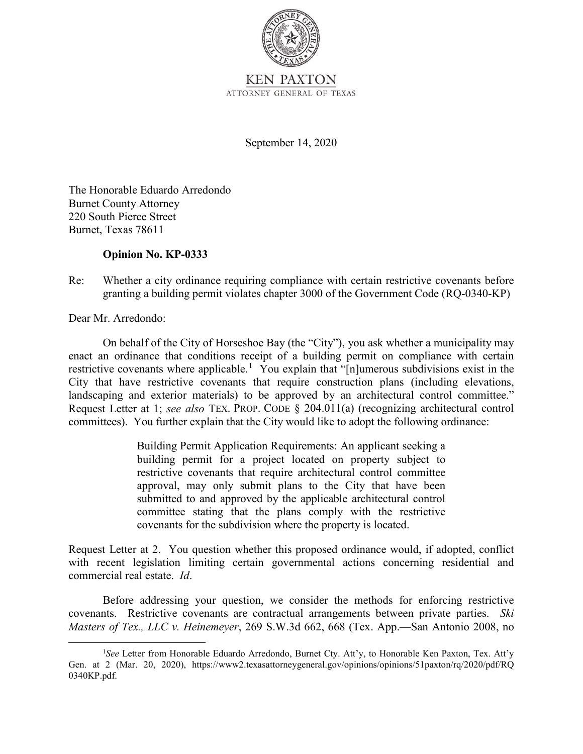

ATTORNEY GENERAL OF TEXAS

September 14, 2020

The Honorable Eduardo Arredondo Burnet County Attorney 220 South Pierce Street Burnet, Texas 78611

## **Opinion No. KP-0333**

## Re: Whether a city ordinance requiring compliance with certain restrictive covenants before granting a building permit violates chapter 3000 of the Government Code (RQ-0340-KP)

Dear Mr. Arredondo:

 enact an ordinance that conditions receipt of a building permit on compliance with certain Request Letter at 1; *see also* TEX. PROP. CODE § 204.011(a) (recognizing architectural control On behalf of the City of Horseshoe Bay (the "City"), you ask whether a municipality may restrictive covenants where applicable.<sup>1</sup> You explain that "[n]umerous subdivisions exist in the City that have restrictive covenants that require construction plans (including elevations, landscaping and exterior materials) to be approved by an architectural control committee." committees). You further explain that the City would like to adopt the following ordinance:

> submitted to and approved by the applicable architectural control Building Permit Application Requirements: An applicant seeking a building permit for a project located on property subject to restrictive covenants that require architectural control committee approval, may only submit plans to the City that have been committee stating that the plans comply with the restrictive covenants for the subdivision where the property is located.

 Request Letter at 2. You question whether this proposed ordinance would, if adopted, conflict with recent legislation limiting certain governmental actions concerning residential and commercial real estate. *Id*.

Before addressing your question, we consider the methods for enforcing restrictive covenants. Restrictive covenants are contractual arrangements between private parties. *Ski Masters of Tex., LLC v. Heinemeyer*, 269 S.W.3d 662, 668 (Tex. App.—San Antonio 2008, no

<sup>&</sup>lt;sup>1</sup>See Letter from Honorable Eduardo Arredondo, Burnet Cty. Att'y, to Honorable Ken Paxton, Tex. Att'y Gen. at 2 (Mar. 20, 2020), <https://www2.texasattorneygeneral.gov/opinions/opinions/51paxton/rq/2020/pdf/RQ> 0340KP.pdf.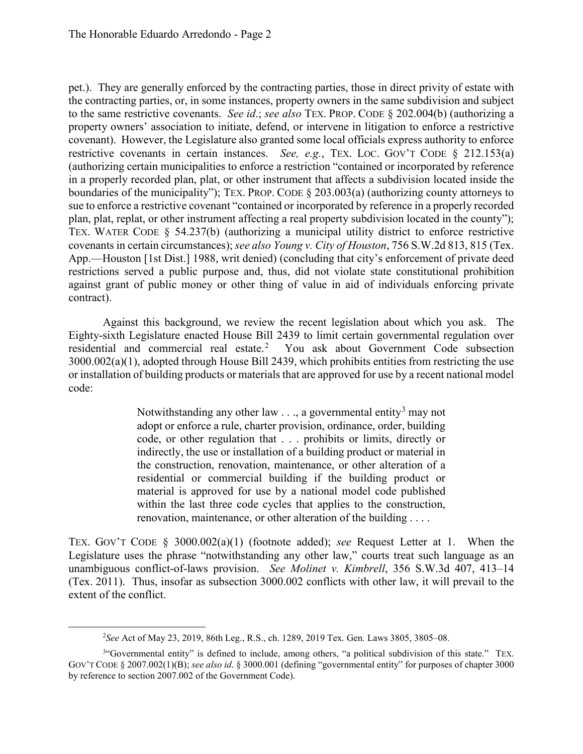to the same restrictive covenants. *See id*.; *see also* TEX. PROP. CODE § 202.004(b) (authorizing a covenant). However, the Legislature also granted some local officials express authority to enforce restrictive covenants in certain instances. *See, e.g.*, TEX. LOC. GOV'T CODE § 212.153(a) boundaries of the municipality"); TEX. PROP. CODE § 203.003(a) (authorizing county attorneys to pet.). They are generally enforced by the contracting parties, those in direct privity of estate with the contracting parties, or, in some instances, property owners in the same subdivision and subject property owners' association to initiate, defend, or intervene in litigation to enforce a restrictive (authorizing certain municipalities to enforce a restriction "contained or incorporated by reference in a properly recorded plan, plat, or other instrument that affects a subdivision located inside the sue to enforce a restrictive covenant "contained or incorporated by reference in a properly recorded plan, plat, replat, or other instrument affecting a real property subdivision located in the county"); TEX. WATER CODE § 54.237(b) (authorizing a municipal utility district to enforce restrictive covenants in certain circumstances); *see also Young v. City of Houston*, 756 S.W.2d 813, 815 (Tex. App.—Houston [1st Dist.] 1988, writ denied) (concluding that city's enforcement of private deed restrictions served a public purpose and, thus, did not violate state constitutional prohibition against grant of public money or other thing of value in aid of individuals enforcing private contract).

 Against this background, we review the recent legislation about which you ask. The residential and commercial real estate.<sup>2</sup> You ask about Government Code subsection Eighty-sixth Legislature enacted House Bill 2439 to limit certain governmental regulation over 3000.002(a)(1), adopted through House Bill 2439, which prohibits entities from restricting the use or installation of building products or materials that are approved for use by a recent national model code:

> adopt or enforce a rule, charter provision, ordinance, order, building Notwithstanding any other law  $\dots$ , a governmental entity<sup>3</sup> may not code, or other regulation that . . . prohibits or limits, directly or indirectly, the use or installation of a building product or material in the construction, renovation, maintenance, or other alteration of a residential or commercial building if the building product or material is approved for use by a national model code published within the last three code cycles that applies to the construction, renovation, maintenance, or other alteration of the building . . . .

 Legislature uses the phrase "notwithstanding any other law," courts treat such language as an (Tex. 2011). Thus, insofar as subsection 3000.002 conflicts with other law, it will prevail to the TEX. GOV'T CODE § 3000.002(a)(1) (footnote added); *see* Request Letter at 1. When the unambiguous conflict-of-laws provision. *See Molinet v. Kimbrell*, 356 S.W.3d 407, 413–14 extent of the conflict.

 $\overline{a}$ 

<sup>2</sup> *See* Act of May 23, 2019, 86th Leg., R.S., ch. 1289, 2019 Tex. Gen. Laws 3805, 3805–08.

<sup>&</sup>lt;sup>3</sup>"Governmental entity" is defined to include, among others, "a political subdivision of this state." TEX. GOV'T CODE § 2007.002(1)(B); *see also id*. § 3000.001 (defining "governmental entity" for purposes of chapter 3000 by reference to section 2007.002 of the Government Code).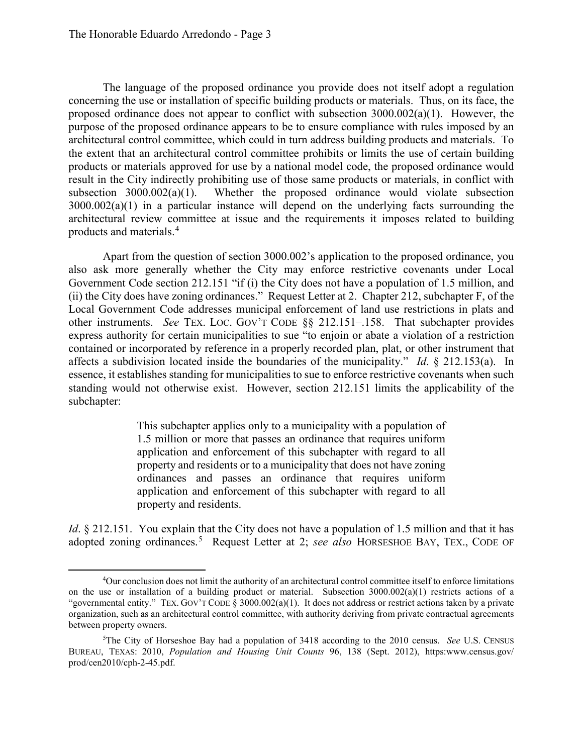$\overline{a}$ 

 proposed ordinance does not appear to conflict with subsection 3000.002(a)(1). However, the purpose of the proposed ordinance appears to be to ensure compliance with rules imposed by an the extent that an architectural control committee prohibits or limits the use of certain building The language of the proposed ordinance you provide does not itself adopt a regulation concerning the use or installation of specific building products or materials. Thus, on its face, the architectural control committee, which could in turn address building products and materials. To products or materials approved for use by a national model code, the proposed ordinance would result in the City indirectly prohibiting use of those same products or materials, in conflict with subsection  $3000.002(a)(1)$ . Whether the proposed ordinance would violate subsection 3000.002(a)(1) in a particular instance will depend on the underlying facts surrounding the architectural review committee at issue and the requirements it imposes related to building products and materials.<sup>4</sup>

 also ask more generally whether the City may enforce restrictive covenants under Local other instruments. *See* TEX. LOC. GOV'T CODE §§ 212.151–.158. That subchapter provides Apart from the question of section 3000.002's application to the proposed ordinance, you Government Code section 212.151 "if (i) the City does not have a population of 1.5 million, and (ii) the City does have zoning ordinances." Request Letter at 2. Chapter 212, subchapter F, of the Local Government Code addresses municipal enforcement of land use restrictions in plats and express authority for certain municipalities to sue "to enjoin or abate a violation of a restriction contained or incorporated by reference in a properly recorded plan, plat, or other instrument that affects a subdivision located inside the boundaries of the municipality." *Id*. § 212.153(a). In essence, it establishes standing for municipalities to sue to enforce restrictive covenants when such standing would not otherwise exist. However, section 212.151 limits the applicability of the subchapter:

> This subchapter applies only to a municipality with a population of 1.5 million or more that passes an ordinance that requires uniform application and enforcement of this subchapter with regard to all property and residents or to a municipality that does not have zoning ordinances and passes an ordinance that requires uniform application and enforcement of this subchapter with regard to all property and residents.

adopted zoning ordinances.<sup>5</sup> Request Letter at 2; see also HORSESHOE BAY, TEX., CODE OF *Id*. § 212.151. You explain that the City does not have a population of 1.5 million and that it has

 4 Our conclusion does not limit the authority of an architectural control committee itself to enforce limitations "governmental entity." TEX. GOV'T CODE § 3000.002(a)(1). It does not address or restrict actions taken by a private on the use or installation of a building product or material. Subsection 3000.002(a)(1) restricts actions of a organization, such as an architectural control committee, with authority deriving from private contractual agreements between property owners.

 5 The City of Horseshoe Bay had a population of 3418 according to the 2010 census. *See* U.S. CENSUS BUREAU, TEXAS: 2010, *Population and Housing Unit Counts* 96, 138 (Sept. 2012), <https:www.census.gov>/ prod/cen2010/cph-2-45.pdf.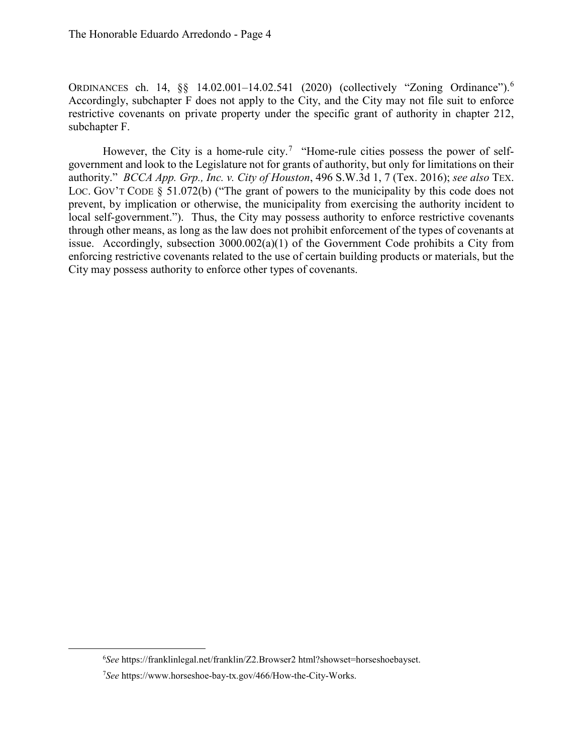ORDINANCES ch. 14, §§ 14.02.001–14.02.541 (2020) (collectively "Zoning Ordinance"). 6 Accordingly, subchapter F does not apply to the City, and the City may not file suit to enforce restrictive covenants on private property under the specific grant of authority in chapter 212, subchapter F.

However, the City is a home-rule city.<sup>7</sup> "Home-rule cities possess the power of self- government and look to the Legislature not for grants of authority, but only for limitations on their authority." *BCCA App. Grp., Inc. v. City of Houston*, 496 S.W.3d 1, 7 (Tex. 2016); *see also* TEX. LOC. GOV'T CODE § 51.072(b) ("The grant of powers to the municipality by this code does not prevent, by implication or otherwise, the municipality from exercising the authority incident to local self-government."). Thus, the City may possess authority to enforce restrictive covenants through other means, as long as the law does not prohibit enforcement of the types of covenants at issue. Accordingly, subsection 3000.002(a)(1) of the Government Code prohibits a City from enforcing restrictive covenants related to the use of certain building products or materials, but the City may possess authority to enforce other types of covenants.

-

<sup>6</sup> *See* <https://franklinlegal.net/franklin/Z2.Browser2>html?showset=horseshoebayset.

<sup>7</sup> *See* [https://www.horseshoe-bay-tx.gov/466/How-the-City-Works.](https://www.horseshoe-bay-tx.gov/466/How-the-City-Works)